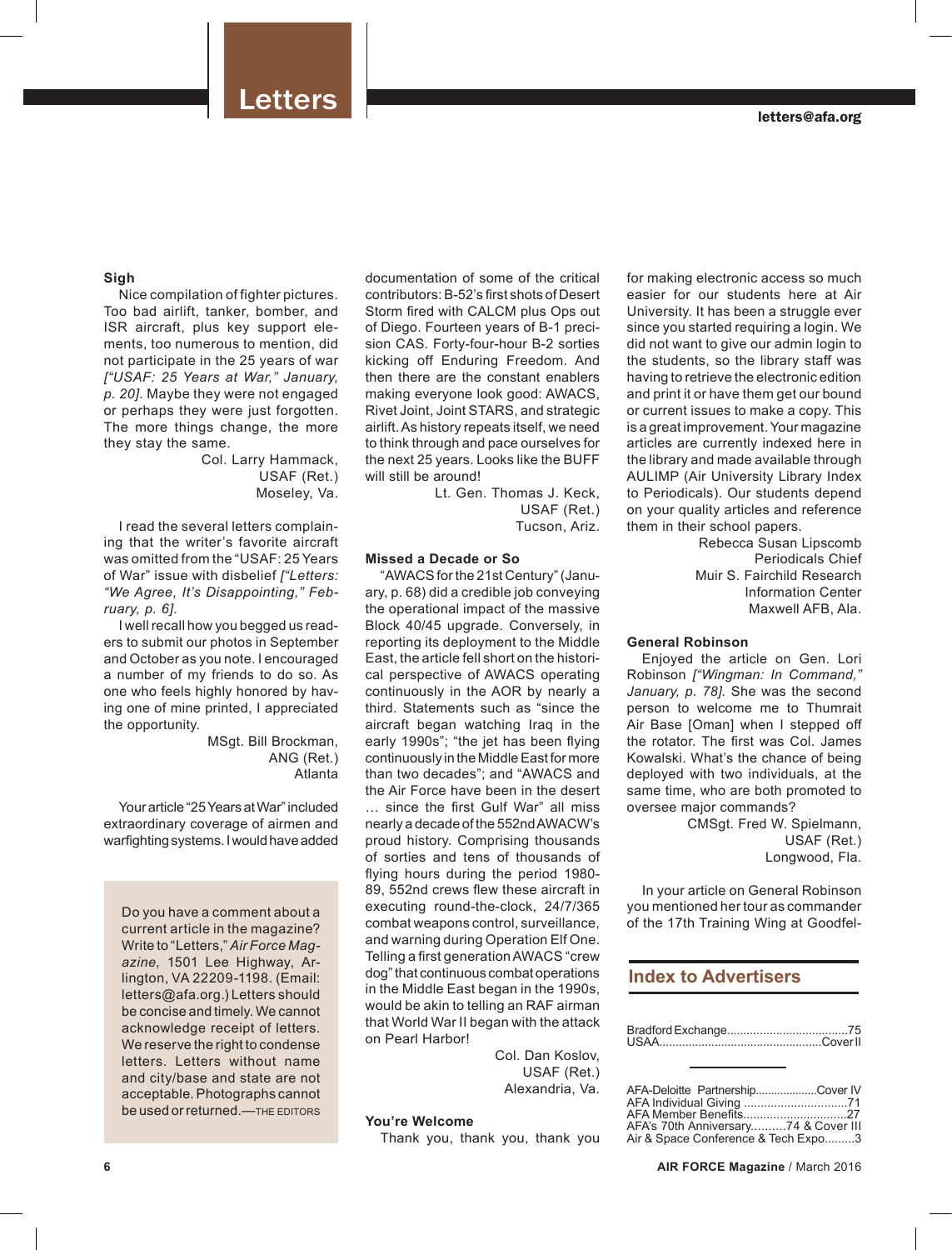### **Sigh**

Nice compilation of fighter pictures. Too bad airlift, tanker, bomber, and ISR aircraft, plus key support elements, too numerous to mention, did not participate in the 25 years of war *["USAF: 25 Years at War," January, p. 20].* Maybe they were not engaged or perhaps they were just forgotten. The more things change, the more they stay the same.

Col. Larry Hammack, USAF (Ret.) Moseley, Va.

I read the several letters complaining that the writer's favorite aircraft was omitted from the "USAF: 25 Years of War" issue with disbelief *["Letters: "We Agree, It's Disappointing," February, p. 6].* 

I well recall how you begged us readers to submit our photos in September and October as you note. I encouraged a number of my friends to do so. As one who feels highly honored by having one of mine printed, I appreciated the opportunity.

> MSgt. Bill Brockman, ANG (Ret.) Atlanta

Your article "25 Years at War" included extraordinary coverage of airmen and warfighting systems. I would have added

Do you have a comment about a current article in the magazine? Write to "Letters," *Air Force Magazine,* 1501 Lee Highway, Arlington, VA 22209-1198. (Email: letters@afa.org.) Letters should be concise and timely. We cannot acknowledge receipt of letters. We reserve the right to condense letters. Letters without name and city/base and state are not acceptable. Photographs cannot be used or returned.—THE EDITORS

documentation of some of the critical contributors: B-52's first shots of Desert Storm fired with CALCM plus Ops out of Diego. Fourteen years of B-1 precision CAS. Forty-four-hour B-2 sorties kicking off Enduring Freedom. And then there are the constant enablers making everyone look good: AWACS, Rivet Joint, Joint STARS, and strategic airlift. As history repeats itself, we need to think through and pace ourselves for the next 25 years. Looks like the BUFF will still be around!

Lt. Gen. Thomas J. Keck, USAF (Ret.) Tucson, Ariz.

## **Missed a Decade or So**

"AWACS for the 21st Century" (January, p. 68) did a credible job conveying the operational impact of the massive Block 40/45 upgrade. Conversely, in reporting its deployment to the Middle East, the article fell short on the historical perspective of AWACS operating continuously in the AOR by nearly a third. Statements such as "since the aircraft began watching Iraq in the early 1990s"; "the jet has been flying continuously in the Middle East for more than two decades"; and "AWACS and the Air Force have been in the desert … since the first Gulf War" all miss nearly a decade of the 552nd AWACW's proud history. Comprising thousands of sorties and tens of thousands of flying hours during the period 1980- 89, 552nd crews flew these aircraft in executing round-the-clock, 24/7/365 combat weapons control, surveillance, and warning during Operation Elf One. Telling a first generation AWACS "crew dog" that continuous combat operations in the Middle East began in the 1990s, would be akin to telling an RAF airman that World War II began with the attack on Pearl Harbor!

> Col. Dan Koslov, USAF (Ret.) Alexandria, Va.

## **You're Welcome**

Thank you, thank you, thank you

for making electronic access so much easier for our students here at Air University. It has been a struggle ever since you started requiring a login. We did not want to give our admin login to the students, so the library staff was having to retrieve the electronic edition and print it or have them get our bound or current issues to make a copy. This is a great improvement. Your magazine articles are currently indexed here in the library and made available through AULIMP (Air University Library Index to Periodicals). Our students depend on your quality articles and reference them in their school papers.

Rebecca Susan Lipscomb Periodicals Chief Muir S. Fairchild Research Information Center Maxwell AFB, Ala.

## **General Robinson**

Enjoyed the article on Gen. Lori Robinson *["Wingman: In Command," January, p. 78].* She was the second person to welcome me to Thumrait Air Base [Oman] when I stepped off the rotator. The first was Col. James Kowalski. What's the chance of being deployed with two individuals, at the same time, who are both promoted to oversee major commands?

CMSgt. Fred W. Spielmann, USAF (Ret.) Longwood, Fla.

In your article on General Robinson you mentioned her tour as commander of the 17th Training Wing at Goodfel-

## **Index to Advertisers**

| AFA-Deloitte PartnershipCover IV     |  |
|--------------------------------------|--|
|                                      |  |
|                                      |  |
| AFA's 70th Anniversary74 & Cover III |  |
| Air & Space Conference & Tech Expo3  |  |